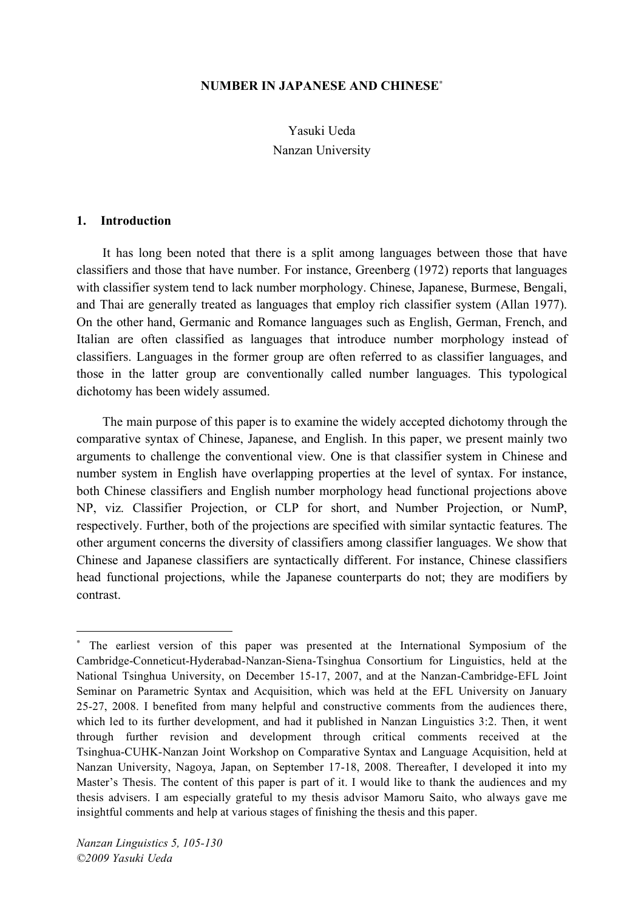#### **NUMBER IN JAPANESE AND CHINESE**<sup>∗</sup>

Yasuki Ueda Nanzan University

#### **1. Introduction**

It has long been noted that there is a split among languages between those that have classifiers and those that have number. For instance, Greenberg (1972) reports that languages with classifier system tend to lack number morphology. Chinese, Japanese, Burmese, Bengali, and Thai are generally treated as languages that employ rich classifier system (Allan 1977). On the other hand, Germanic and Romance languages such as English, German, French, and Italian are often classified as languages that introduce number morphology instead of classifiers. Languages in the former group are often referred to as classifier languages, and those in the latter group are conventionally called number languages. This typological dichotomy has been widely assumed.

The main purpose of this paper is to examine the widely accepted dichotomy through the comparative syntax of Chinese, Japanese, and English. In this paper, we present mainly two arguments to challenge the conventional view. One is that classifier system in Chinese and number system in English have overlapping properties at the level of syntax. For instance, both Chinese classifiers and English number morphology head functional projections above NP, viz. Classifier Projection, or CLP for short, and Number Projection, or NumP, respectively. Further, both of the projections are specified with similar syntactic features. The other argument concerns the diversity of classifiers among classifier languages. We show that Chinese and Japanese classifiers are syntactically different. For instance, Chinese classifiers head functional projections, while the Japanese counterparts do not; they are modifiers by contrast.

 $\overline{a}$ 

<sup>∗</sup> The earliest version of this paper was presented at the International Symposium of the Cambridge-Conneticut-Hyderabad-Nanzan-Siena-Tsinghua Consortium for Linguistics, held at the National Tsinghua University, on December 15-17, 2007, and at the Nanzan-Cambridge-EFL Joint Seminar on Parametric Syntax and Acquisition, which was held at the EFL University on January 25-27, 2008. I benefited from many helpful and constructive comments from the audiences there, which led to its further development, and had it published in Nanzan Linguistics 3:2. Then, it went through further revision and development through critical comments received at the Tsinghua-CUHK-Nanzan Joint Workshop on Comparative Syntax and Language Acquisition, held at Nanzan University, Nagoya, Japan, on September 17-18, 2008. Thereafter, I developed it into my Master's Thesis. The content of this paper is part of it. I would like to thank the audiences and my thesis advisers. I am especially grateful to my thesis advisor Mamoru Saito, who always gave me insightful comments and help at various stages of finishing the thesis and this paper.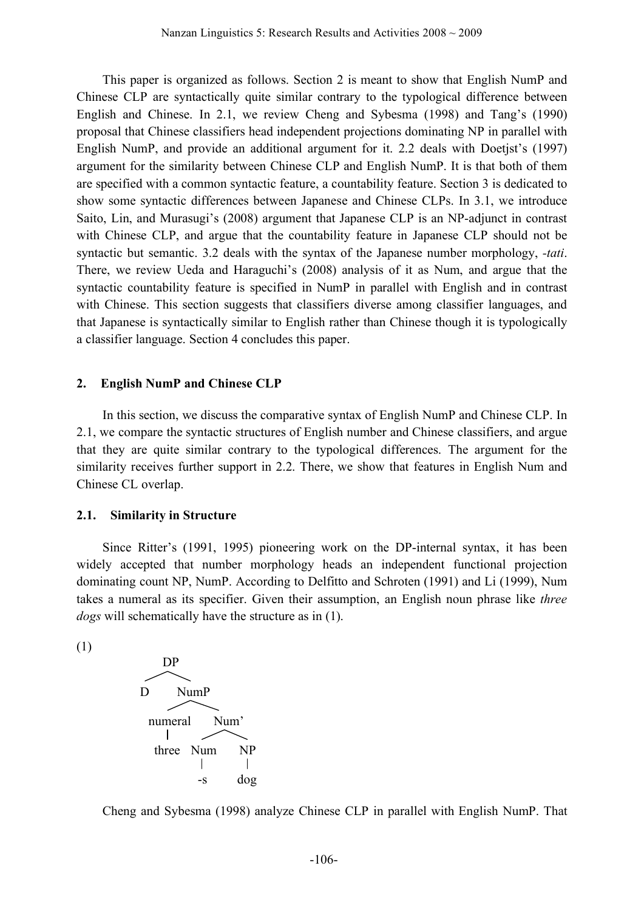This paper is organized as follows. Section 2 is meant to show that English NumP and Chinese CLP are syntactically quite similar contrary to the typological difference between English and Chinese. In 2.1, we review Cheng and Sybesma (1998) and Tang's (1990) proposal that Chinese classifiers head independent projections dominating NP in parallel with English NumP, and provide an additional argument for it. 2.2 deals with Doetjst's (1997) argument for the similarity between Chinese CLP and English NumP. It is that both of them are specified with a common syntactic feature, a countability feature. Section 3 is dedicated to show some syntactic differences between Japanese and Chinese CLPs. In 3.1, we introduce Saito, Lin, and Murasugi's (2008) argument that Japanese CLP is an NP-adjunct in contrast with Chinese CLP, and argue that the countability feature in Japanese CLP should not be syntactic but semantic. 3.2 deals with the syntax of the Japanese number morphology, *-tati*. There, we review Ueda and Haraguchi's (2008) analysis of it as Num, and argue that the syntactic countability feature is specified in NumP in parallel with English and in contrast with Chinese. This section suggests that classifiers diverse among classifier languages, and that Japanese is syntactically similar to English rather than Chinese though it is typologically a classifier language. Section 4 concludes this paper.

#### **2. English NumP and Chinese CLP**

In this section, we discuss the comparative syntax of English NumP and Chinese CLP. In 2.1, we compare the syntactic structures of English number and Chinese classifiers, and argue that they are quite similar contrary to the typological differences. The argument for the similarity receives further support in 2.2. There, we show that features in English Num and Chinese CL overlap.

#### **2.1. Similarity in Structure**

Since Ritter's (1991, 1995) pioneering work on the DP-internal syntax, it has been widely accepted that number morphology heads an independent functional projection dominating count NP, NumP. According to Delfitto and Schroten (1991) and Li (1999), Num takes a numeral as its specifier. Given their assumption, an English noun phrase like *three dogs* will schematically have the structure as in (1).

(1)



Cheng and Sybesma (1998) analyze Chinese CLP in parallel with English NumP. That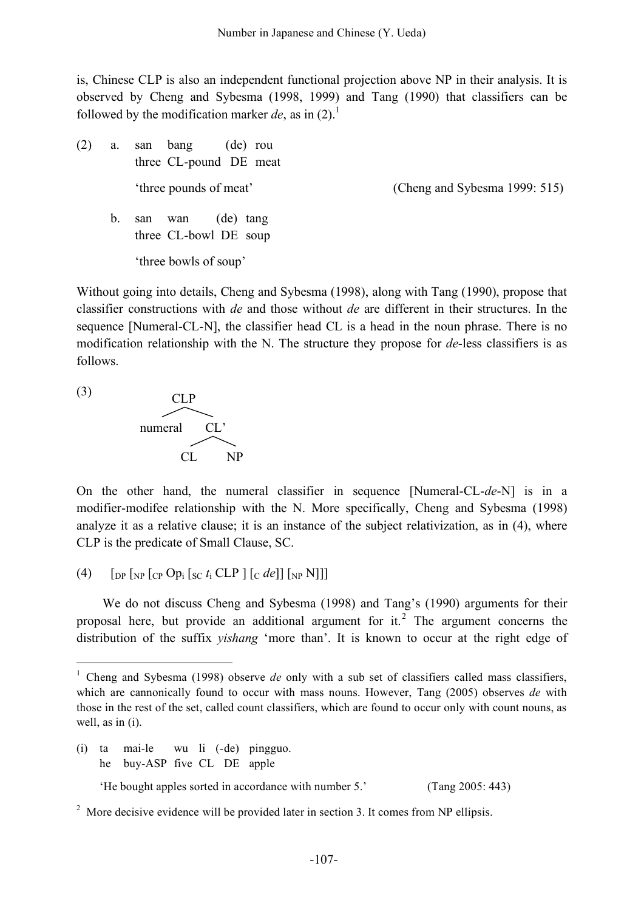is, Chinese CLP is also an independent functional projection above NP in their analysis. It is observed by Cheng and Sybesma (1998, 1999) and Tang (1990) that classifiers can be followed by the modification marker  $de$ , as in  $(2)$ .<sup>1</sup>

(2) a. san bang (de) rou three CL-pound DE meat 'three pounds of meat' (Cheng and Sybesma 1999: 515) b. san wan (de) tang three CL-bowl DE soup 'three bowls of soup'

Without going into details, Cheng and Sybesma (1998), along with Tang (1990), propose that classifier constructions with *de* and those without *de* are different in their structures. In the sequence [Numeral-CL-N], the classifier head CL is a head in the noun phrase. There is no modification relationship with the N. The structure they propose for *de*-less classifiers is as follows.

(3)



On the other hand, the numeral classifier in sequence [Numeral-CL-*de*-N] is in a modifier-modifee relationship with the N. More specifically, Cheng and Sybesma (1998) analyze it as a relative clause; it is an instance of the subject relativization, as in (4), where CLP is the predicate of Small Clause, SC.

(4)  $\left[\int_{\text{DP}} \int_{\text{NP}} \int_{\text{CP}} \text{Op}_i \int_{\text{SC}} t_i \text{CLP} \right] \left[\int_{\text{C}} d\text{e} \right] \left[\int_{\text{NP}} N \right]$ 

We do not discuss Cheng and Sybesma (1998) and Tang's (1990) arguments for their proposal here, but provide an additional argument for it.<sup>2</sup> The argument concerns the distribution of the suffix *yishang* 'more than'. It is known to occur at the right edge of

(i) ta mai-le wu li (-de) pingguo. he buy-ASP five CL DE apple

'He bought apples sorted in accordance with number 5.' (Tang 2005: 443)

 $2 \text{ More decisive evidence will be provided later in section 3. It comes from NP ellipsis.}$ 

<sup>&</sup>lt;sup>1</sup> Cheng and Sybesma (1998) observe *de* only with a sub set of classifiers called mass classifiers, which are cannonically found to occur with mass nouns. However, Tang (2005) observes *de* with those in the rest of the set, called count classifiers, which are found to occur only with count nouns, as well, as in (i).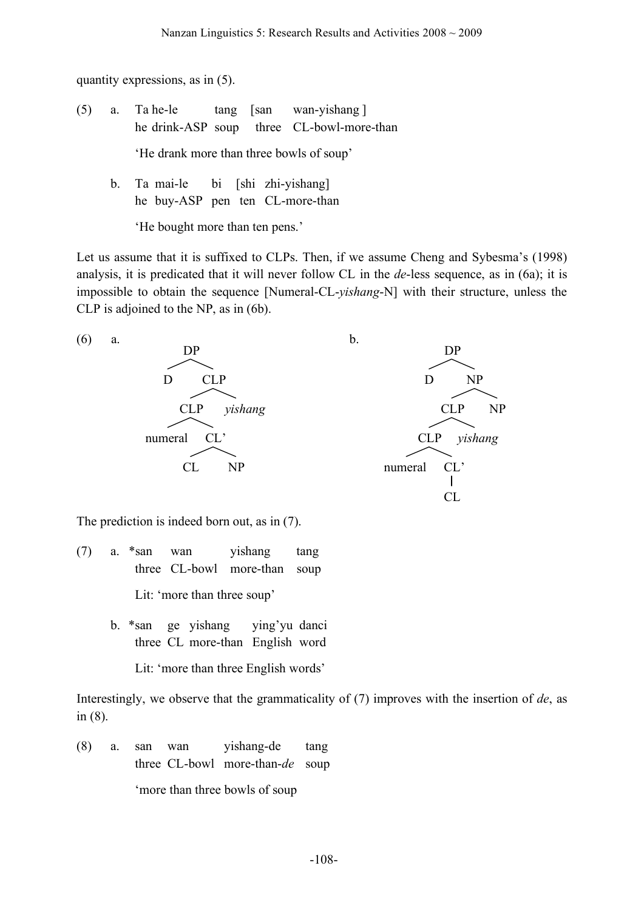quantity expressions, as in (5).

- (5) a. Ta he-le tang [san wan-yishang ] he drink-ASP soup three CL-bowl-more-than 'He drank more than three bowls of soup'
	- b. Ta mai-le bi [shi zhi-yishang] he buy-ASP pen ten CL-more-than

'He bought more than ten pens.'

Let us assume that it is suffixed to CLPs. Then, if we assume Cheng and Sybesma's (1998) analysis, it is predicated that it will never follow CL in the *de*-less sequence, as in (6a); it is impossible to obtain the sequence [Numeral-CL-*yishang*-N] with their structure, unless the CLP is adjoined to the NP, as in (6b).



The prediction is indeed born out, as in (7).

- (7) a. \*san wan yishang tang three CL-bowl more-than soup Lit: 'more than three soup'
	- b. \*san ge yishang ying'yu danci three CL more-than English word

Lit: 'more than three English words'

Interestingly, we observe that the grammaticality of (7) improves with the insertion of *de*, as in (8).

(8) a. san wan yishang-de tang three CL-bowl more-than-*de* soup 'more than three bowls of soup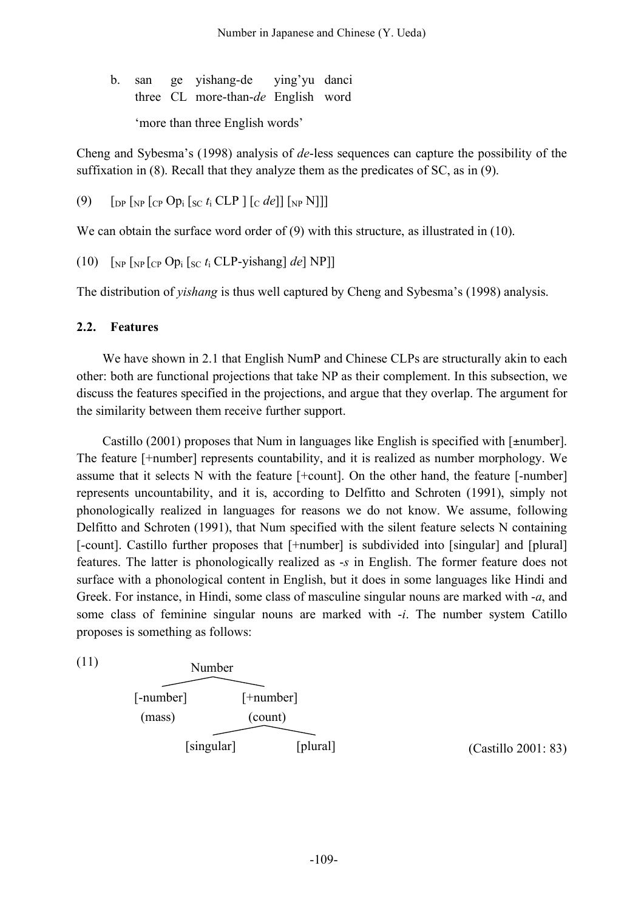b. san ge yishang-de ying'yu danci three CL more-than-*de* English word 'more than three English words'

Cheng and Sybesma's (1998) analysis of *de*-less sequences can capture the possibility of the suffixation in (8). Recall that they analyze them as the predicates of SC, as in (9).

(9)  $\left[ \text{DP} \left[ \text{NP} \left[ \text{CP} \text{Op}_i \left[ \text{SC} t_i \text{CLP} \right] \left[ \text{C} \text{del} \right] \right] \left[ \text{NP} \text{N} \right] \right] \right]$ 

We can obtain the surface word order of (9) with this structure, as illustrated in (10).

(10)  $\left[\int_{NP}\left[\int_{NP}\right][\int_{CP}Op_i\left[\int_{SC}t_i CLP-yishang\right]de\right]NP\right]$ 

The distribution of *yishang* is thus well captured by Cheng and Sybesma's (1998) analysis.

#### **2.2. Features**

We have shown in 2.1 that English NumP and Chinese CLPs are structurally akin to each other: both are functional projections that take NP as their complement. In this subsection, we discuss the features specified in the projections, and argue that they overlap. The argument for the similarity between them receive further support.

Castillo (2001) proposes that Num in languages like English is specified with [±number]. The feature [+number] represents countability, and it is realized as number morphology. We assume that it selects N with the feature [+count]. On the other hand, the feature [-number] represents uncountability, and it is, according to Delfitto and Schroten (1991), simply not phonologically realized in languages for reasons we do not know. We assume, following Delfitto and Schroten (1991), that Num specified with the silent feature selects N containing [-count]. Castillo further proposes that [+number] is subdivided into [singular] and [plural] features. The latter is phonologically realized as -*s* in English. The former feature does not surface with a phonological content in English, but it does in some languages like Hindi and Greek. For instance, in Hindi, some class of masculine singular nouns are marked with -*a*, and some class of feminine singular nouns are marked with -*i*. The number system Catillo proposes is something as follows:

(11)



(Castillo 2001: 83)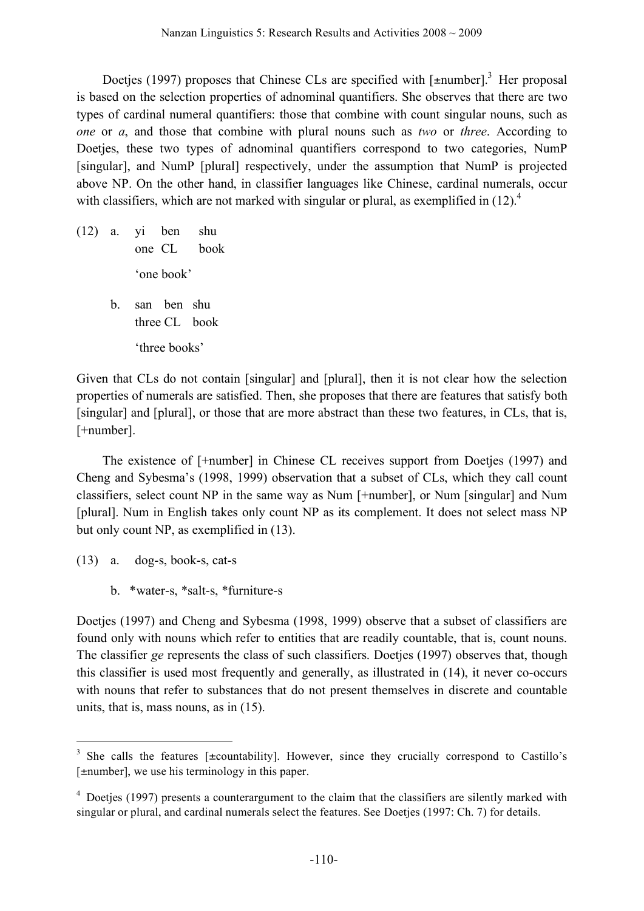Doetjes (1997) proposes that Chinese CLs are specified with  $[$ ±number].<sup>3</sup> Her proposal is based on the selection properties of adnominal quantifiers. She observes that there are two types of cardinal numeral quantifiers: those that combine with count singular nouns, such as *one* or *a*, and those that combine with plural nouns such as *two* or *three*. According to Doetjes, these two types of adnominal quantifiers correspond to two categories, NumP [singular], and NumP [plural] respectively, under the assumption that NumP is projected above NP. On the other hand, in classifier languages like Chinese, cardinal numerals, occur with classifiers, which are not marked with singular or plural, as exemplified in  $(12)$ .

(12) a. yi ben shu one CL book 'one book' b. san ben shu three CL book 'three books'

Given that CLs do not contain [singular] and [plural], then it is not clear how the selection properties of numerals are satisfied. Then, she proposes that there are features that satisfy both [singular] and [plural], or those that are more abstract than these two features, in CLs, that is, [+number].

The existence of [+number] in Chinese CL receives support from Doetjes (1997) and Cheng and Sybesma's (1998, 1999) observation that a subset of CLs, which they call count classifiers, select count NP in the same way as Num [+number], or Num [singular] and Num [plural]. Num in English takes only count NP as its complement. It does not select mass NP but only count NP, as exemplified in (13).

- (13) a. dog-s, book-s, cat-s
	- b. \*water-s, \*salt-s, \*furniture-s

Doetjes (1997) and Cheng and Sybesma (1998, 1999) observe that a subset of classifiers are found only with nouns which refer to entities that are readily countable, that is, count nouns. The classifier *ge* represents the class of such classifiers. Doetjes (1997) observes that, though this classifier is used most frequently and generally, as illustrated in (14), it never co-occurs with nouns that refer to substances that do not present themselves in discrete and countable units, that is, mass nouns, as in (15).

<sup>&</sup>lt;sup>3</sup> She calls the features [±countability]. However, since they crucially correspond to Castillo's [±number], we use his terminology in this paper.

<sup>4</sup> Doetjes (1997) presents a counterargument to the claim that the classifiers are silently marked with singular or plural, and cardinal numerals select the features. See Doetjes (1997: Ch. 7) for details.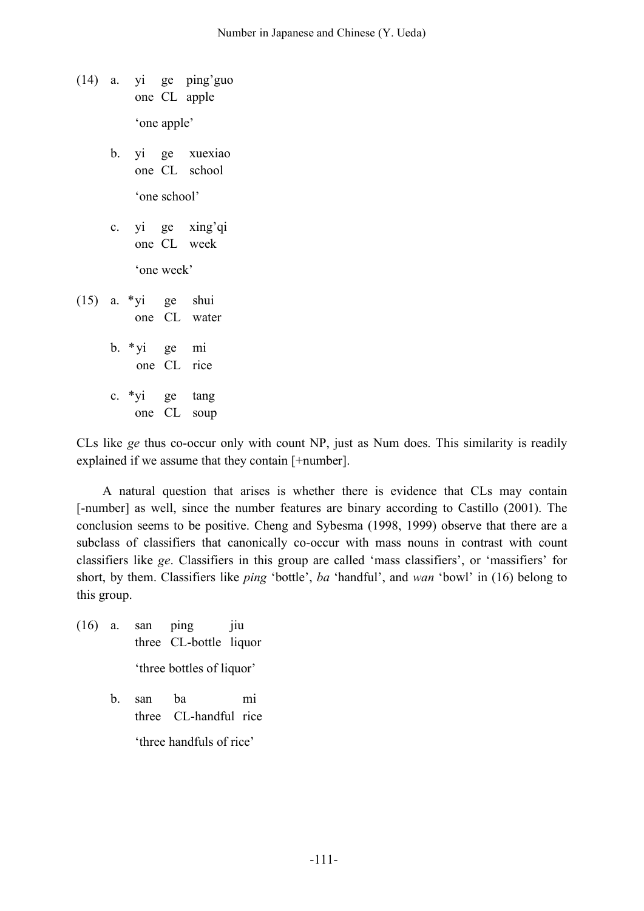- (14) a. yi ge ping'guo one CL apple 'one apple'
	- b. yi ge xuexiao one CL school 'one school'
	- c. yi ge xing'qi one CL week 'one week'
- (15) a. \*yi ge shui one CL water b. \*yi ge mi one CL rice c. \*yi ge tang one CL soup

CLs like *ge* thus co-occur only with count NP, just as Num does. This similarity is readily explained if we assume that they contain [+number].

A natural question that arises is whether there is evidence that CLs may contain [-number] as well, since the number features are binary according to Castillo (2001). The conclusion seems to be positive. Cheng and Sybesma (1998, 1999) observe that there are a subclass of classifiers that canonically co-occur with mass nouns in contrast with count classifiers like *ge*. Classifiers in this group are called 'mass classifiers', or 'massifiers' for short, by them. Classifiers like *ping* 'bottle', *ba* 'handful', and *wan* 'bowl' in (16) belong to this group.

- $(16)$  a. san ping jiu three CL-bottle liquor 'three bottles of liquor'
	- b. san ba mi three CL-handful rice

'three handfuls of rice'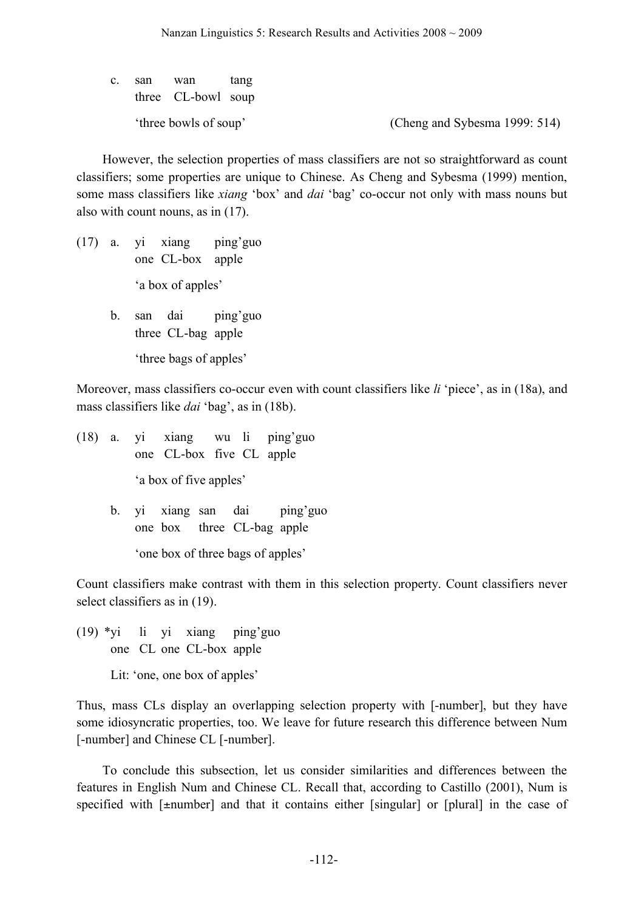c. san wan tang three CL-bowl soup

'three bowls of soup' (Cheng and Sybesma 1999: 514)

However, the selection properties of mass classifiers are not so straightforward as count classifiers; some properties are unique to Chinese. As Cheng and Sybesma (1999) mention, some mass classifiers like *xiang* 'box' and *dai* 'bag' co-occur not only with mass nouns but also with count nouns, as in (17).

- (17) a. yi xiang ping'guo one CL-box apple 'a box of apples'
	- b. san dai ping'guo three CL-bag apple 'three bags of apples'

Moreover, mass classifiers co-occur even with count classifiers like *li* 'piece', as in (18a), and mass classifiers like *dai* 'bag', as in (18b).

- (18) a. yi xiang wu li ping'guo one CL-box five CL apple 'a box of five apples'
	- b. yi xiang san dai ping'guo one box three CL-bag apple 'one box of three bags of apples'

Count classifiers make contrast with them in this selection property. Count classifiers never select classifiers as in (19).

(19) \*yi li yi xiang ping'guo one CL one CL-box apple

Lit: 'one, one box of apples'

Thus, mass CLs display an overlapping selection property with [-number], but they have some idiosyncratic properties, too. We leave for future research this difference between Num [-number] and Chinese CL [-number].

To conclude this subsection, let us consider similarities and differences between the features in English Num and Chinese CL. Recall that, according to Castillo (2001), Num is specified with [ $\pm$ number] and that it contains either [singular] or [plural] in the case of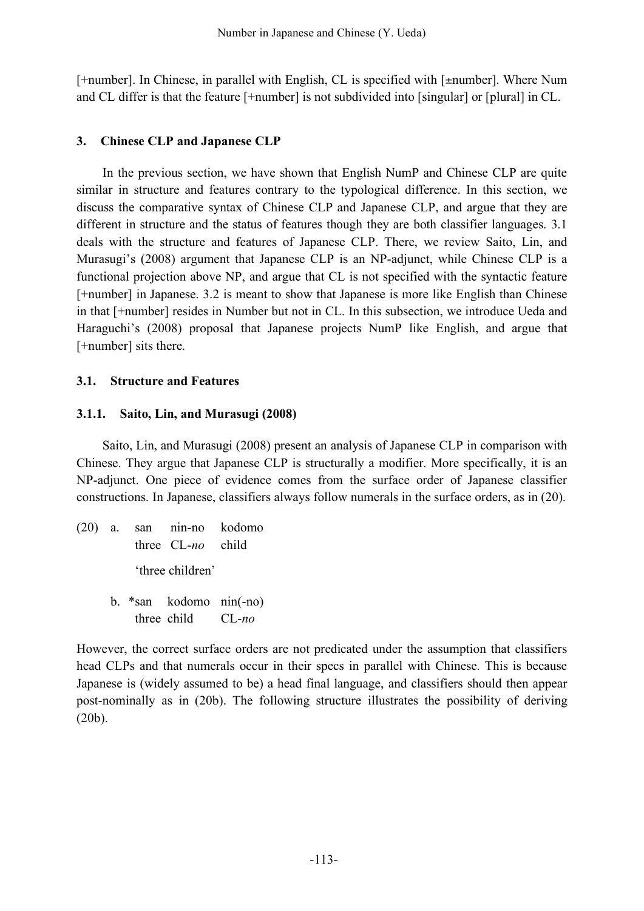[+number]. In Chinese, in parallel with English, CL is specified with [±number]. Where Num and CL differ is that the feature [+number] is not subdivided into [singular] or [plural] in CL.

# **3. Chinese CLP and Japanese CLP**

In the previous section, we have shown that English NumP and Chinese CLP are quite similar in structure and features contrary to the typological difference. In this section, we discuss the comparative syntax of Chinese CLP and Japanese CLP, and argue that they are different in structure and the status of features though they are both classifier languages. 3.1 deals with the structure and features of Japanese CLP. There, we review Saito, Lin, and Murasugi's (2008) argument that Japanese CLP is an NP-adjunct, while Chinese CLP is a functional projection above NP, and argue that CL is not specified with the syntactic feature [+number] in Japanese. 3.2 is meant to show that Japanese is more like English than Chinese in that [+number] resides in Number but not in CL. In this subsection, we introduce Ueda and Haraguchi's (2008) proposal that Japanese projects NumP like English, and argue that [+number] sits there.

## **3.1. Structure and Features**

## **3.1.1. Saito, Lin, and Murasugi (2008)**

Saito, Lin, and Murasugi (2008) present an analysis of Japanese CLP in comparison with Chinese. They argue that Japanese CLP is structurally a modifier. More specifically, it is an NP-adjunct. One piece of evidence comes from the surface order of Japanese classifier constructions. In Japanese, classifiers always follow numerals in the surface orders, as in (20).

(20) a. san nin-no kodomo three CL-*no* child 'three children' b. \*san kodomo nin(-no) three child CL-*no*

However, the correct surface orders are not predicated under the assumption that classifiers head CLPs and that numerals occur in their specs in parallel with Chinese. This is because Japanese is (widely assumed to be) a head final language, and classifiers should then appear post-nominally as in (20b). The following structure illustrates the possibility of deriving (20b).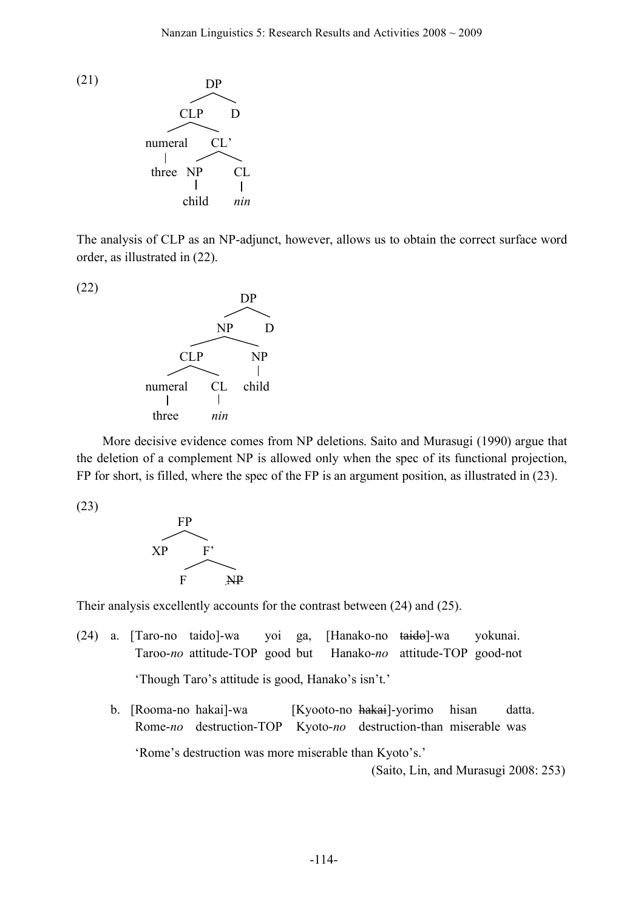

The analysis of CLP as an NP-adjunct, however, allows us to obtain the correct surface word order, as illustrated in (22).



More decisive evidence comes from NP deletions. Saito and Murasugi (1990) argue that the deletion of a complement NP is allowed only when the spec of its functional projection, FP for short, is filled, where the spec of the FP is an argument position, as illustrated in (23).

(23)



Their analysis excellently accounts for the contrast between (24) and (25).

- (24) a. [Taro-no taido]-wa yoi ga, [Hanako-no taido]-wa yokunai. Taroo-*no* attitude-TOP good but Hanako-*no* attitude-TOP good-not 'Though Taro's attitude is good, Hanako's isn't.'
	- b. [Rooma-no hakai]-wa [Kyooto-no hakai]-yorimo hisan datta. Rome-*no* destruction-TOP Kyoto-*no* destruction-than miserable was 'Rome's destruction was more miserable than Kyoto's.'

(Saito, Lin, and Murasugi 2008: 253)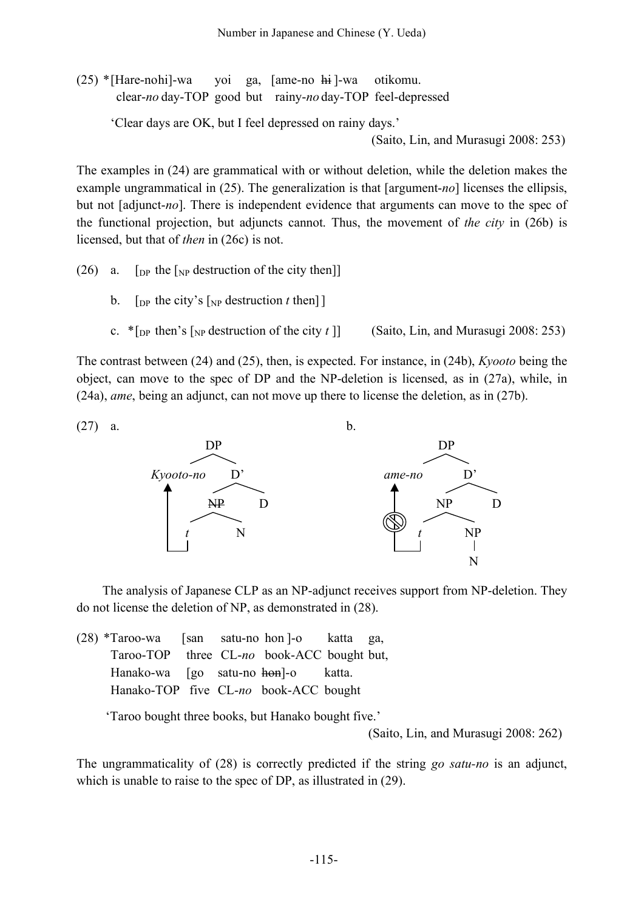(25) \*[Hare-nohi]-wa yoi ga, [ame-no hi ]-wa otikomu. clear-*no* day-TOP good but rainy-*no* day-TOP feel-depressed

'Clear days are OK, but I feel depressed on rainy days.'

(Saito, Lin, and Murasugi 2008: 253)

The examples in (24) are grammatical with or without deletion, while the deletion makes the example ungrammatical in (25). The generalization is that [argument-*no*] licenses the ellipsis, but not [adjunct-*no*]. There is independent evidence that arguments can move to the spec of the functional projection, but adjuncts cannot. Thus, the movement of *the city* in (26b) is licensed, but that of *then* in (26c) is not.

- (26) a. [DP the  $\lceil NP \rceil$  destruction of the city then]]
	- b.  $[p^p]$  the city's  $[p^p]$  destruction *t* then<sup>[1]</sup>
	- c. \*[DP then's [NP destruction of the city *t* ]] (Saito, Lin, and Murasugi 2008: 253)

The contrast between (24) and (25), then, is expected. For instance, in (24b), *Kyooto* being the object, can move to the spec of DP and the NP-deletion is licensed, as in (27a), while, in (24a), *ame*, being an adjunct, can not move up there to license the deletion, as in (27b).



The analysis of Japanese CLP as an NP-adjunct receives support from NP-deletion. They do not license the deletion of NP, as demonstrated in (28).

(28) \*Taroo-wa [san satu-no hon ]-o katta ga, Taroo-TOP three CL-*no* book-ACC bought but, Hanako-wa [go satu-no hon]-o katta. Hanako-TOP five CL-*no* book-ACC bought

'Taroo bought three books, but Hanako bought five.'

(Saito, Lin, and Murasugi 2008: 262)

The ungrammaticality of (28) is correctly predicted if the string *go satu-no* is an adjunct, which is unable to raise to the spec of DP, as illustrated in (29).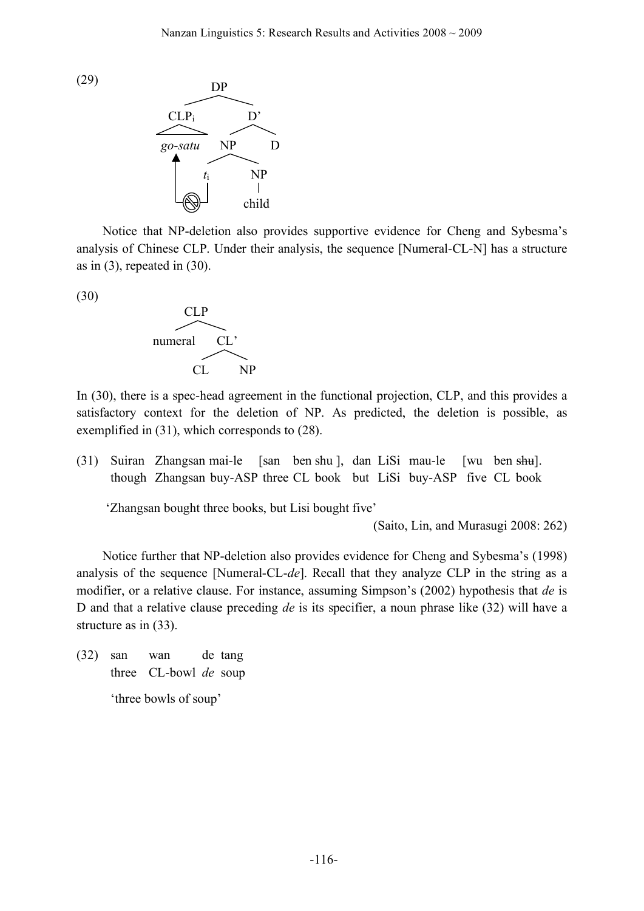



Notice that NP-deletion also provides supportive evidence for Cheng and Sybesma's analysis of Chinese CLP. Under their analysis, the sequence [Numeral-CL-N] has a structure as in  $(3)$ , repeated in  $(30)$ .

(30)



In (30), there is a spec-head agreement in the functional projection, CLP, and this provides a satisfactory context for the deletion of NP. As predicted, the deletion is possible, as exemplified in (31), which corresponds to (28).

(31) Suiran Zhangsan mai-le [san ben shu ], dan LiSi mau-le [wu ben shu]. though Zhangsan buy-ASP three CL book but LiSi buy-ASP five CL book

'Zhangsan bought three books, but Lisi bought five'

(Saito, Lin, and Murasugi 2008: 262)

Notice further that NP-deletion also provides evidence for Cheng and Sybesma's (1998) analysis of the sequence [Numeral-CL-*de*]. Recall that they analyze CLP in the string as a modifier, or a relative clause. For instance, assuming Simpson's (2002) hypothesis that *de* is D and that a relative clause preceding *de* is its specifier, a noun phrase like (32) will have a structure as in (33).

(32) san wan de tang three CL-bowl *de* soup

'three bowls of soup'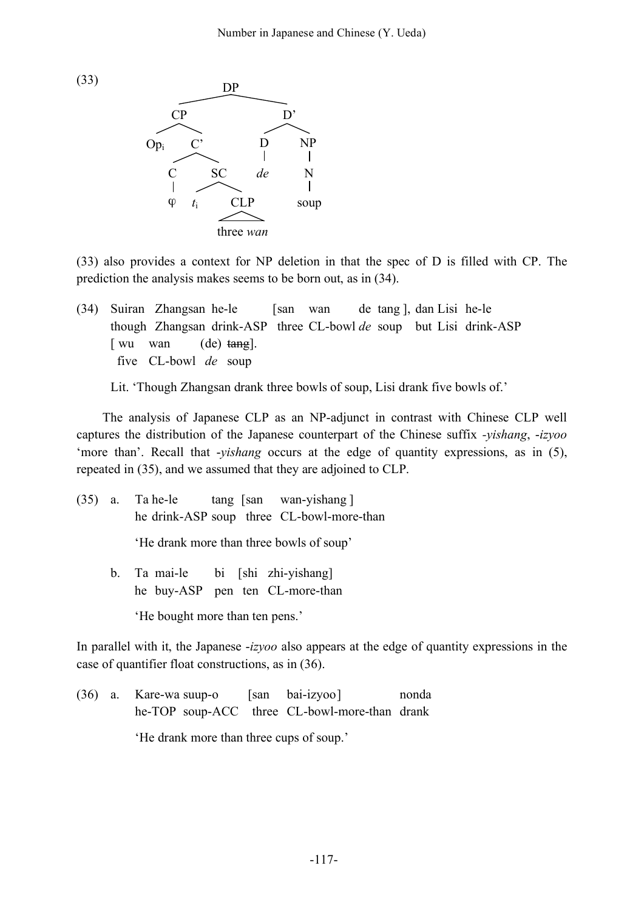



(33) also provides a context for NP deletion in that the spec of D is filled with CP. The prediction the analysis makes seems to be born out, as in (34).

(34) Suiran Zhangsan he-le [san wan de tang ], dan Lisi he-le though Zhangsan drink-ASP three CL-bowl *de* soup but Lisi drink-ASP [ wu wan (de) tang]. five CL-bowl *de* soup

Lit. 'Though Zhangsan drank three bowls of soup, Lisi drank five bowls of.'

The analysis of Japanese CLP as an NP-adjunct in contrast with Chinese CLP well captures the distribution of the Japanese counterpart of the Chinese suffix *-yishang*, -*izyoo* 'more than'. Recall that -*yishang* occurs at the edge of quantity expressions, as in (5), repeated in (35), and we assumed that they are adjoined to CLP.

(35) a. Ta he-le tang [san wan-yishang ] he drink-ASP soup three CL-bowl-more-than 'He drank more than three bowls of soup' b. Ta mai-le bi [shi zhi-yishang] he buy-ASP pen ten CL-more-than

'He bought more than ten pens.'

In parallel with it, the Japanese -*izyoo* also appears at the edge of quantity expressions in the case of quantifier float constructions, as in (36).

(36) a. Kare-wa suup-o [san bai-izyoo] nonda he-TOP soup-ACC three CL-bowl-more-than drank 'He drank more than three cups of soup.'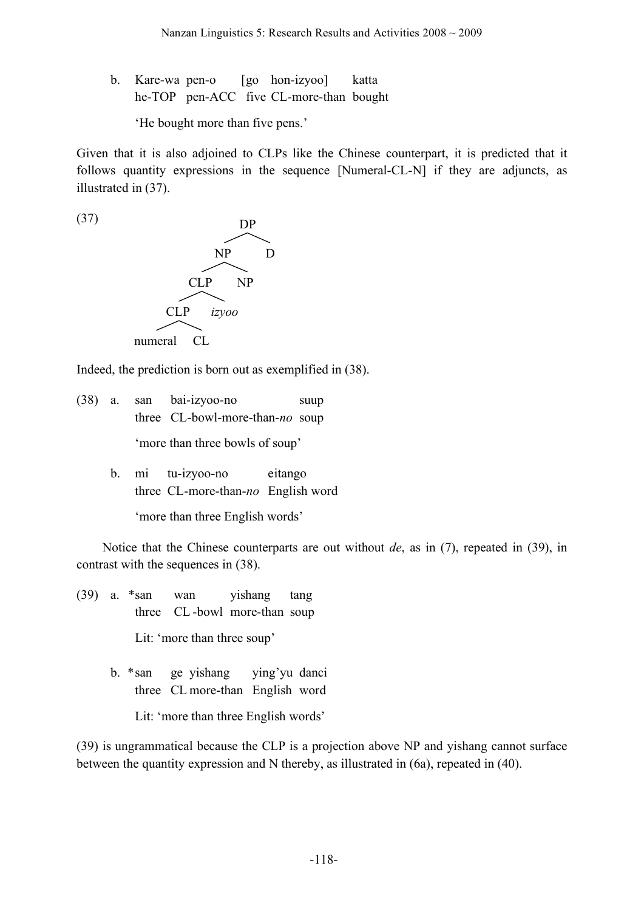b. Kare-wa pen-o [go hon-izyoo] katta he-TOP pen-ACC five CL-more-than bought

'He bought more than five pens.'

Given that it is also adjoined to CLPs like the Chinese counterpart, it is predicted that it follows quantity expressions in the sequence [Numeral-CL-N] if they are adjuncts, as illustrated in (37).



Indeed, the prediction is born out as exemplified in (38).

- (38) a. san bai-izyoo-no suup three CL-bowl-more-than-*no* soup 'more than three bowls of soup'
	- b. mi tu-izyoo-no eitango three CL-more-than-*no* English word

'more than three English words'

Notice that the Chinese counterparts are out without *de*, as in (7), repeated in (39), in contrast with the sequences in (38).

- (39) a. \*san wan yishang tang three CL -bowl more-than soup Lit: 'more than three soup'
	- b. \*san ge yishang ying'yu danci three CL more-than English word

Lit: 'more than three English words'

(39) is ungrammatical because the CLP is a projection above NP and yishang cannot surface between the quantity expression and N thereby, as illustrated in (6a), repeated in (40).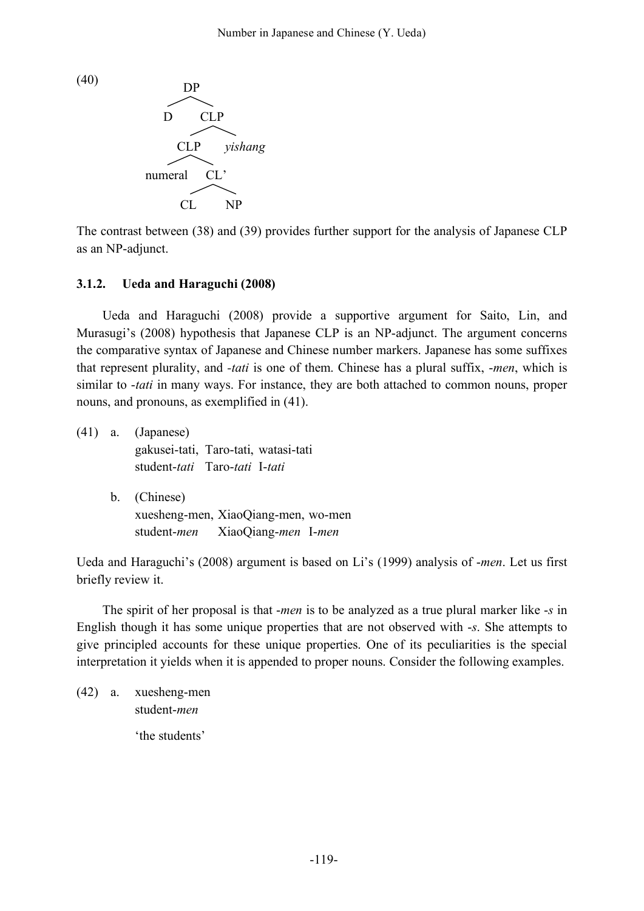



The contrast between (38) and (39) provides further support for the analysis of Japanese CLP as an NP-adjunct.

## **3.1.2. Ueda and Haraguchi (2008)**

Ueda and Haraguchi (2008) provide a supportive argument for Saito, Lin, and Murasugi's (2008) hypothesis that Japanese CLP is an NP-adjunct. The argument concerns the comparative syntax of Japanese and Chinese number markers. Japanese has some suffixes that represent plurality, and *-tati* is one of them. Chinese has a plural suffix, -*men*, which is similar to -*tati* in many ways. For instance, they are both attached to common nouns, proper nouns, and pronouns, as exemplified in (41).

|  | $(41)$ a. (Japanese)<br>gakusei-tati, Taro-tati, watasi-tati<br>student-tati Taro-tati I-tati |
|--|-----------------------------------------------------------------------------------------------|
|  | b. (Chinese)<br>xuesheng-men, XiaoQiang-men, wo-men<br>student-men XiaoQiang-men I-men        |

Ueda and Haraguchi's (2008) argument is based on Li's (1999) analysis of -*men*. Let us first briefly review it.

The spirit of her proposal is that -*men* is to be analyzed as a true plural marker like -*s* in English though it has some unique properties that are not observed with -*s*. She attempts to give principled accounts for these unique properties. One of its peculiarities is the special interpretation it yields when it is appended to proper nouns. Consider the following examples.

```
(42) a. xuesheng-men
    student-men
    'the students'
```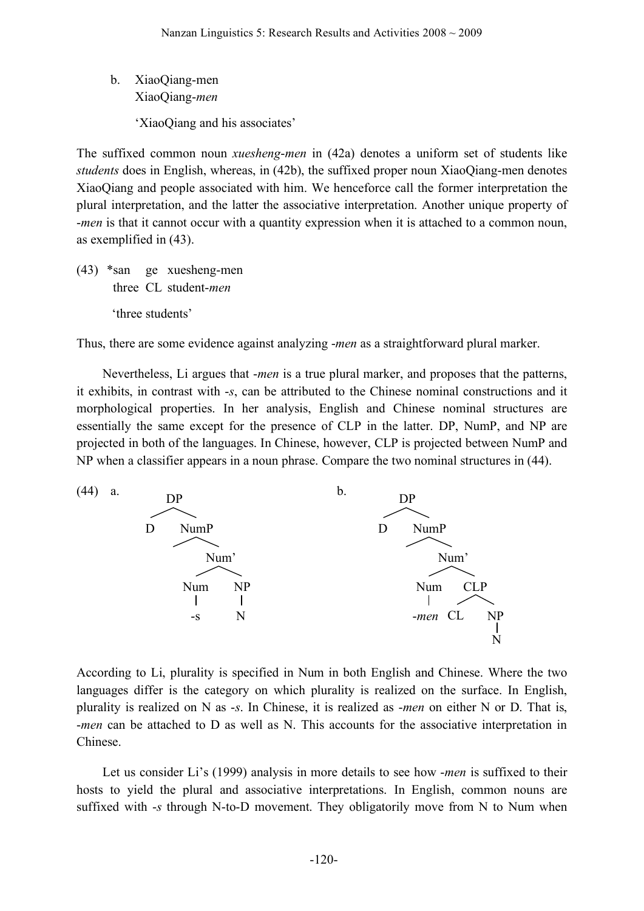b. XiaoQiang-men XiaoQiang-*men*

'XiaoQiang and his associates'

The suffixed common noun *xuesheng*-*men* in (42a) denotes a uniform set of students like *students* does in English, whereas, in (42b), the suffixed proper noun XiaoQiang-men denotes XiaoQiang and people associated with him. We henceforce call the former interpretation the plural interpretation, and the latter the associative interpretation. Another unique property of -*men* is that it cannot occur with a quantity expression when it is attached to a common noun, as exemplified in (43).

(43) \*san ge xuesheng-men three CL student-*men* 'three students'

Thus, there are some evidence against analyzing -*men* as a straightforward plural marker.

Nevertheless, Li argues that -*men* is a true plural marker, and proposes that the patterns, it exhibits, in contrast with -*s*, can be attributed to the Chinese nominal constructions and it morphological properties. In her analysis, English and Chinese nominal structures are essentially the same except for the presence of CLP in the latter. DP, NumP, and NP are projected in both of the languages. In Chinese, however, CLP is projected between NumP and NP when a classifier appears in a noun phrase. Compare the two nominal structures in (44).



According to Li, plurality is specified in Num in both English and Chinese. Where the two languages differ is the category on which plurality is realized on the surface. In English, plurality is realized on N as -*s*. In Chinese, it is realized as -*men* on either N or D. That is, -*men* can be attached to D as well as N. This accounts for the associative interpretation in Chinese.

Let us consider Li's (1999) analysis in more details to see how -*men* is suffixed to their hosts to yield the plural and associative interpretations. In English, common nouns are suffixed with -*s* through N-to-D movement. They obligatorily move from N to Num when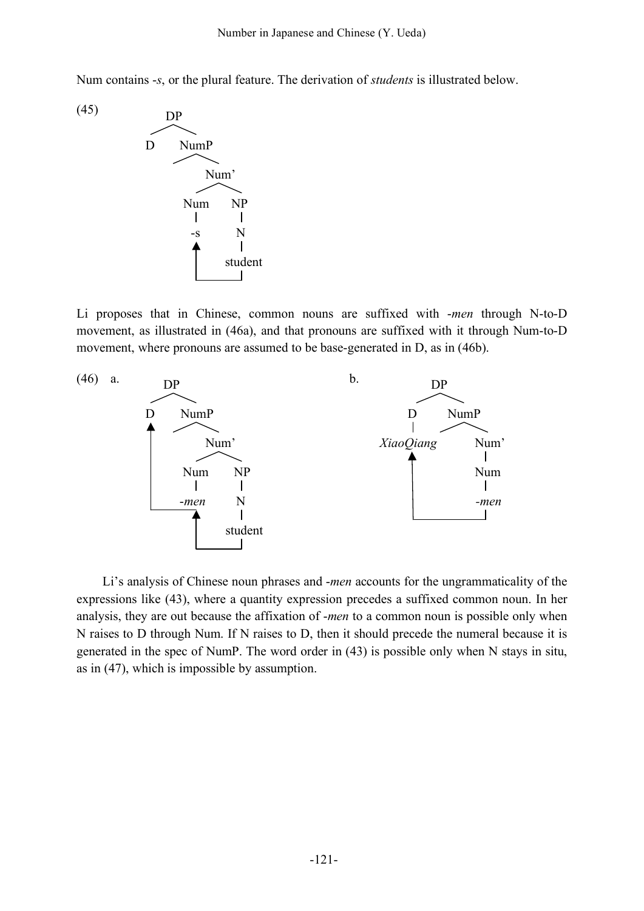Num contains -*s*, or the plural feature. The derivation of *students* is illustrated below.



Li proposes that in Chinese, common nouns are suffixed with -*men* through N-to-D movement, as illustrated in (46a), and that pronouns are suffixed with it through Num-to-D movement, where pronouns are assumed to be base-generated in D, as in (46b).



Li's analysis of Chinese noun phrases and -*men* accounts for the ungrammaticality of the expressions like (43), where a quantity expression precedes a suffixed common noun. In her analysis, they are out because the affixation of -*men* to a common noun is possible only when N raises to D through Num. If N raises to D, then it should precede the numeral because it is generated in the spec of NumP. The word order in (43) is possible only when N stays in situ, as in (47), which is impossible by assumption.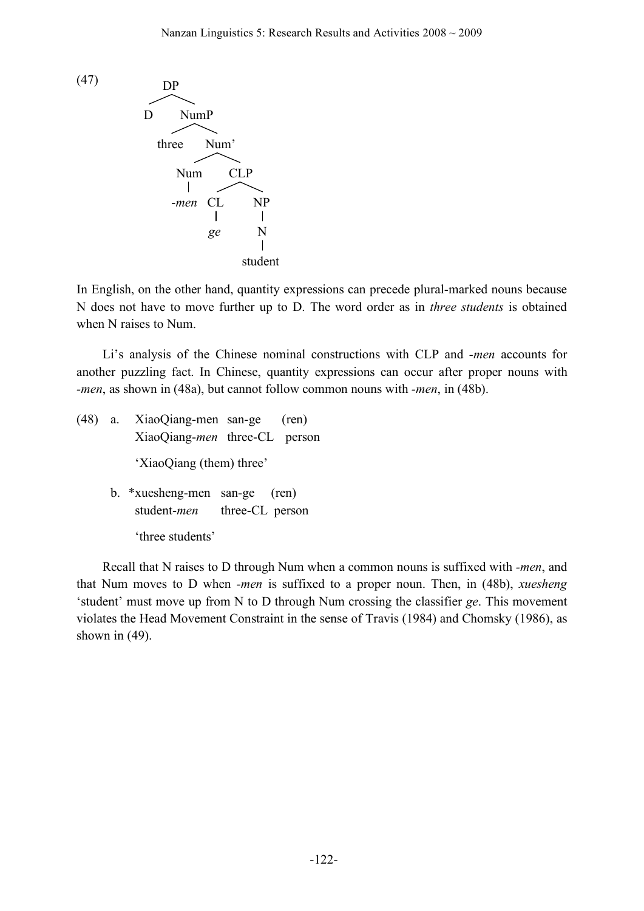

In English, on the other hand, quantity expressions can precede plural-marked nouns because N does not have to move further up to D. The word order as in *three students* is obtained when N raises to Num.

Li's analysis of the Chinese nominal constructions with CLP and *-men* accounts for another puzzling fact. In Chinese, quantity expressions can occur after proper nouns with *-men*, as shown in (48a), but cannot follow common nouns with *-men*, in (48b).

(48) a. XiaoQiang-men san-ge (ren) XiaoQiang-*men* three-CL person 'XiaoQiang (them) three' b. \*xuesheng-men san-ge (ren) student-*men* three-CL person

'three students'

Recall that N raises to D through Num when a common nouns is suffixed with *-men*, and that Num moves to D when *-men* is suffixed to a proper noun. Then, in (48b), *xuesheng* 'student' must move up from N to D through Num crossing the classifier *ge*. This movement violates the Head Movement Constraint in the sense of Travis (1984) and Chomsky (1986), as shown in  $(49)$ .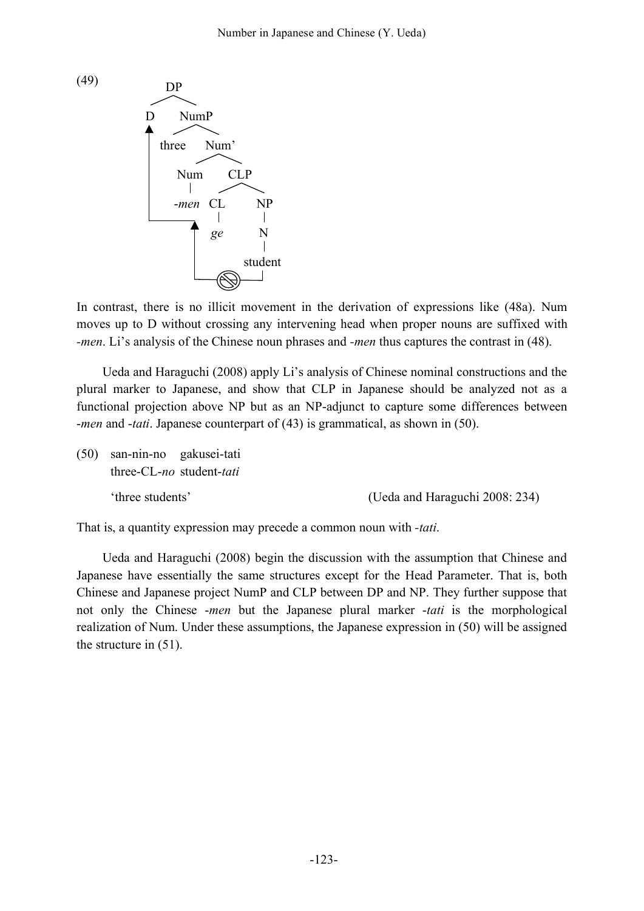

In contrast, there is no illicit movement in the derivation of expressions like (48a). Num moves up to D without crossing any intervening head when proper nouns are suffixed with *-men*. Li's analysis of the Chinese noun phrases and *-men* thus captures the contrast in (48).

Ueda and Haraguchi (2008) apply Li's analysis of Chinese nominal constructions and the plural marker to Japanese, and show that CLP in Japanese should be analyzed not as a functional projection above NP but as an NP-adjunct to capture some differences between -*men* and -*tati*. Japanese counterpart of (43) is grammatical, as shown in (50).

(50) san-nin-no gakusei-tati three-CL-*no* student-*tati*

'three students' (Ueda and Haraguchi 2008: 234)

That is, a quantity expression may precede a common noun with *-tati*.

Ueda and Haraguchi (2008) begin the discussion with the assumption that Chinese and Japanese have essentially the same structures except for the Head Parameter. That is, both Chinese and Japanese project NumP and CLP between DP and NP. They further suppose that not only the Chinese -*men* but the Japanese plural marker -*tati* is the morphological realization of Num. Under these assumptions, the Japanese expression in (50) will be assigned the structure in (51).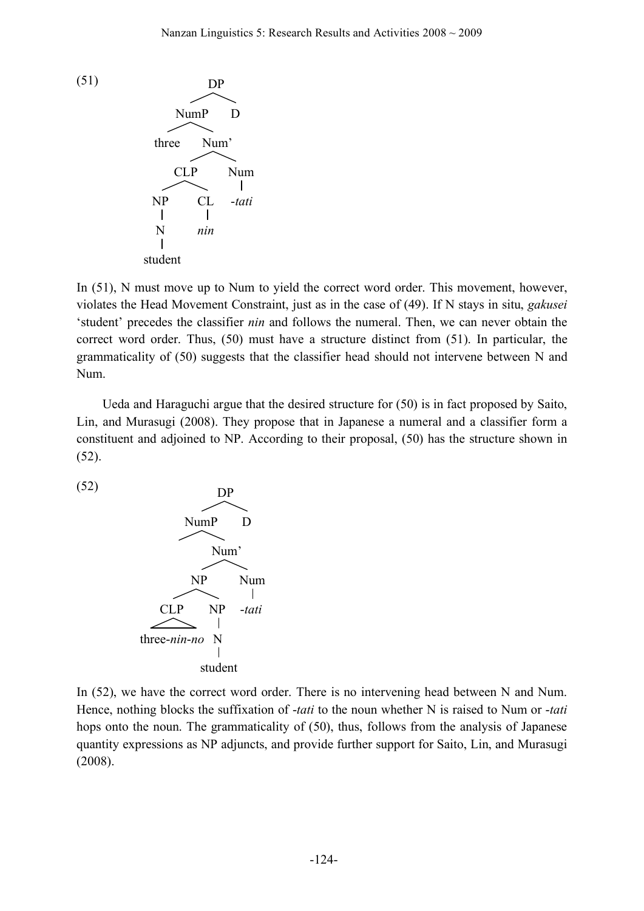

In (51), N must move up to Num to yield the correct word order. This movement, however, violates the Head Movement Constraint, just as in the case of (49). If N stays in situ, *gakusei* 'student' precedes the classifier *nin* and follows the numeral. Then, we can never obtain the correct word order. Thus, (50) must have a structure distinct from (51). In particular, the grammaticality of (50) suggests that the classifier head should not intervene between N and Num.

Ueda and Haraguchi argue that the desired structure for (50) is in fact proposed by Saito, Lin, and Murasugi (2008). They propose that in Japanese a numeral and a classifier form a constituent and adjoined to NP. According to their proposal, (50) has the structure shown in (52).

(52)



In (52), we have the correct word order. There is no intervening head between N and Num. Hence, nothing blocks the suffixation of -*tati* to the noun whether N is raised to Num or -*tati* hops onto the noun. The grammaticality of (50), thus, follows from the analysis of Japanese quantity expressions as NP adjuncts, and provide further support for Saito, Lin, and Murasugi (2008).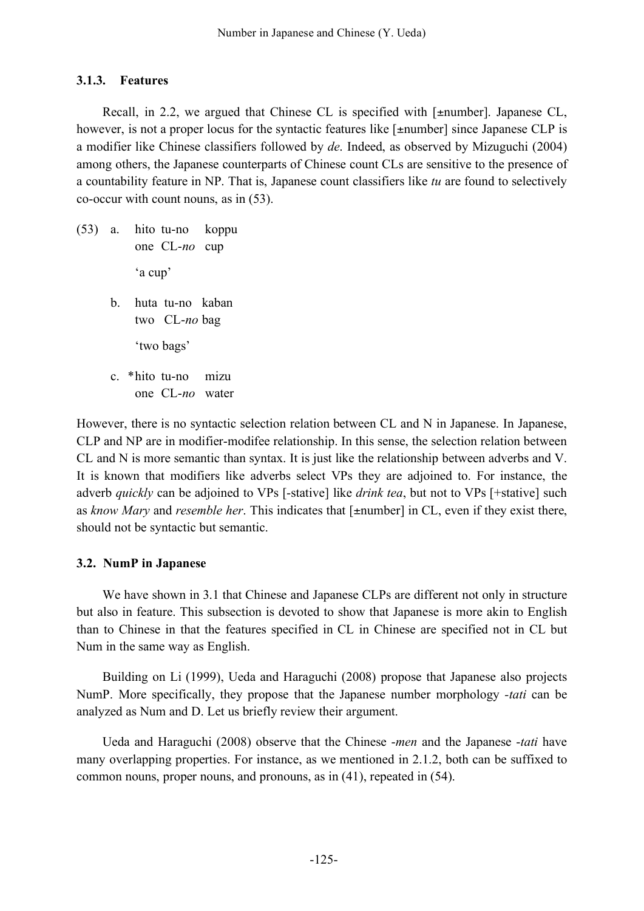#### **3.1.3. Features**

Recall, in 2.2, we argued that Chinese CL is specified with [±number]. Japanese CL, however, is not a proper locus for the syntactic features like [ $\pm$ number] since Japanese CLP is a modifier like Chinese classifiers followed by *de*. Indeed, as observed by Mizuguchi (2004) among others, the Japanese counterparts of Chinese count CLs are sensitive to the presence of a countability feature in NP. That is, Japanese count classifiers like *tu* are found to selectively co-occur with count nouns, as in (53).

(53) a. hito tu-no koppu one CL-*no* cup 'a cup' b. huta tu-no kaban two CL-*no* bag 'two bags' c. \*hito tu-no mizu one CL-*no* water

However, there is no syntactic selection relation between CL and N in Japanese. In Japanese, CLP and NP are in modifier-modifee relationship. In this sense, the selection relation between CL and N is more semantic than syntax. It is just like the relationship between adverbs and V. It is known that modifiers like adverbs select VPs they are adjoined to. For instance, the adverb *quickly* can be adjoined to VPs [-stative] like *drink tea*, but not to VPs [+stative] such as *know Mary* and *resemble her*. This indicates that [±number] in CL, even if they exist there, should not be syntactic but semantic.

#### **3.2. NumP in Japanese**

We have shown in 3.1 that Chinese and Japanese CLPs are different not only in structure but also in feature. This subsection is devoted to show that Japanese is more akin to English than to Chinese in that the features specified in CL in Chinese are specified not in CL but Num in the same way as English.

Building on Li (1999), Ueda and Haraguchi (2008) propose that Japanese also projects NumP. More specifically, they propose that the Japanese number morphology *-tati* can be analyzed as Num and D. Let us briefly review their argument.

Ueda and Haraguchi (2008) observe that the Chinese -*men* and the Japanese -*tati* have many overlapping properties. For instance, as we mentioned in 2.1.2, both can be suffixed to common nouns, proper nouns, and pronouns, as in (41), repeated in (54).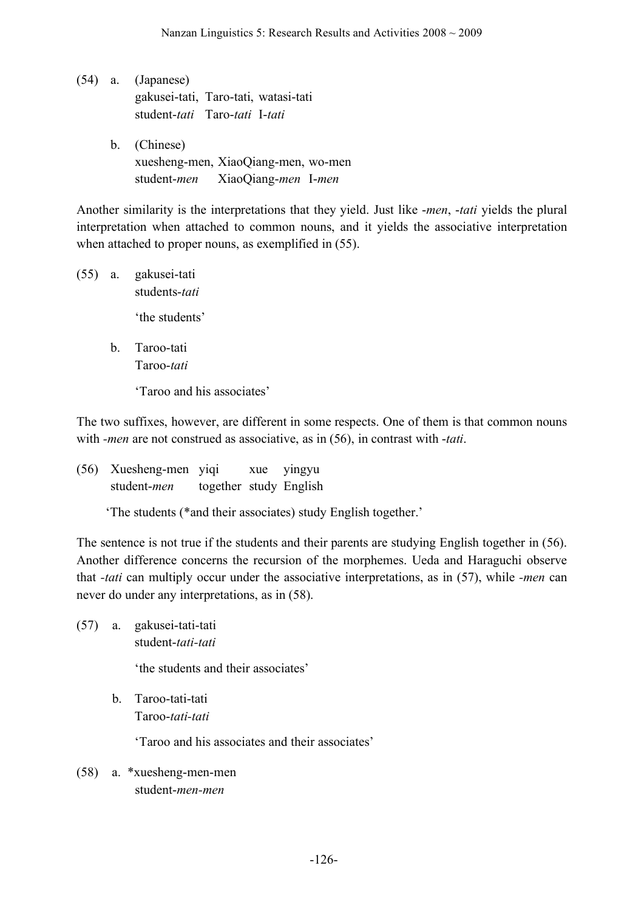- (54) a. (Japanese) gakusei-tati, Taro-tati, watasi-tati student-*tati* Taro-*tati* I-*tati* b. (Chinese)
	- xuesheng-men, XiaoQiang-men, wo-men student-*men* XiaoQiang-*men* I-*men*

Another similarity is the interpretations that they yield. Just like -*men*, -*tati* yields the plural interpretation when attached to common nouns, and it yields the associative interpretation when attached to proper nouns, as exemplified in (55).

- (55) a. gakusei-tati students-*tati* 'the students'
	- b. Taroo-tati Taroo-*tati*

'Taroo and his associates'

The two suffixes, however, are different in some respects. One of them is that common nouns with *-men* are not construed as associative, as in (56), in contrast with -*tati*.

(56) Xuesheng-men yiqi xue yingyu student-*men* together study English

'The students (\*and their associates) study English together.'

The sentence is not true if the students and their parents are studying English together in (56). Another difference concerns the recursion of the morphemes. Ueda and Haraguchi observe that *-tati* can multiply occur under the associative interpretations, as in (57), while *-men* can never do under any interpretations, as in (58).

(57) a. gakusei-tati-tati student-*tati-tati*

'the students and their associates'

b. Taroo-tati-tati Taroo-*tati-tati*

'Taroo and his associates and their associates'

(58) a. \*xuesheng-men-men student-*men-men*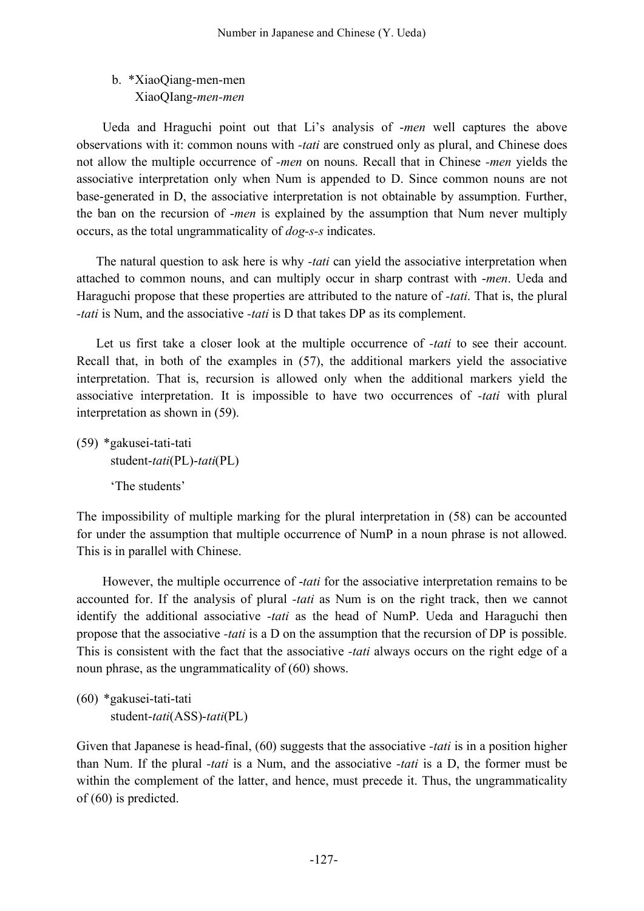# b. \*XiaoQiang-men-men XiaoQIang-*men-men*

Ueda and Hraguchi point out that Li's analysis of -*men* well captures the above observations with it: common nouns with *-tati* are construed only as plural, and Chinese does not allow the multiple occurrence of *-men* on nouns. Recall that in Chinese *-men* yields the associative interpretation only when Num is appended to D. Since common nouns are not base-generated in D, the associative interpretation is not obtainable by assumption. Further, the ban on the recursion of -*men* is explained by the assumption that Num never multiply occurs, as the total ungrammaticality of *dog-s-s* indicates.

The natural question to ask here is why *-tati* can yield the associative interpretation when attached to common nouns, and can multiply occur in sharp contrast with -*men*. Ueda and Haraguchi propose that these properties are attributed to the nature of *-tati*. That is, the plural *-tati* is Num, and the associative *-tati* is D that takes DP as its complement.

Let us first take a closer look at the multiple occurrence of *-tati* to see their account. Recall that, in both of the examples in (57), the additional markers yield the associative interpretation. That is, recursion is allowed only when the additional markers yield the associative interpretation. It is impossible to have two occurrences of *-tati* with plural interpretation as shown in (59).

(59) \*gakusei-tati-tati student-*tati*(PL)-*tati*(PL) 'The students'

The impossibility of multiple marking for the plural interpretation in (58) can be accounted for under the assumption that multiple occurrence of NumP in a noun phrase is not allowed. This is in parallel with Chinese.

However, the multiple occurrence of -*tati* for the associative interpretation remains to be accounted for. If the analysis of plural *-tati* as Num is on the right track, then we cannot identify the additional associative *-tati* as the head of NumP. Ueda and Haraguchi then propose that the associative *-tati* is a D on the assumption that the recursion of DP is possible. This is consistent with the fact that the associative *-tati* always occurs on the right edge of a noun phrase, as the ungrammaticality of (60) shows.

```
(60) *gakusei-tati-tati
student-tati(ASS)-tati(PL)
```
Given that Japanese is head-final, (60) suggests that the associative *-tati* is in a position higher than Num. If the plural *-tati* is a Num, and the associative *-tati* is a D, the former must be within the complement of the latter, and hence, must precede it. Thus, the ungrammaticality of (60) is predicted.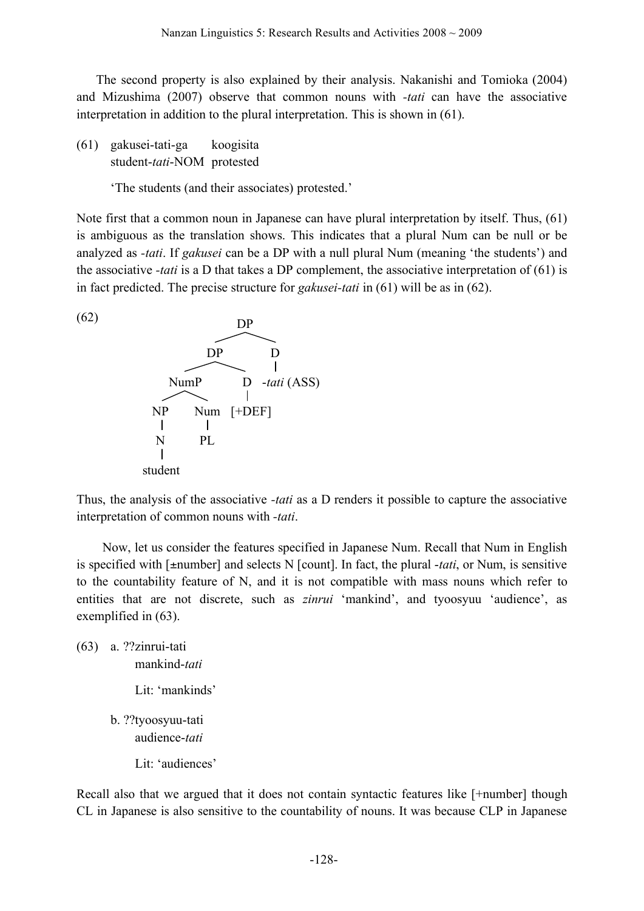The second property is also explained by their analysis. Nakanishi and Tomioka (2004) and Mizushima (2007) observe that common nouns with *-tati* can have the associative interpretation in addition to the plural interpretation. This is shown in (61).

(61) gakusei-tati-ga koogisita student-*tati*-NOM protested

'The students (and their associates) protested.'

Note first that a common noun in Japanese can have plural interpretation by itself. Thus, (61) is ambiguous as the translation shows. This indicates that a plural Num can be null or be analyzed as *-tati*. If *gakusei* can be a DP with a null plural Num (meaning 'the students') and the associative *-tati* is a D that takes a DP complement, the associative interpretation of (61) is in fact predicted. The precise structure for *gakusei-tati* in (61) will be as in (62).



Thus, the analysis of the associative *-tati* as a D renders it possible to capture the associative interpretation of common nouns with *-tati*.

Now, let us consider the features specified in Japanese Num. Recall that Num in English is specified with [±number] and selects N [count]. In fact, the plural -*tati*, or Num, is sensitive to the countability feature of N, and it is not compatible with mass nouns which refer to entities that are not discrete, such as *zinrui* 'mankind', and tyoosyuu 'audience', as exemplified in (63).

(63) a. ??zinrui-tati mankind-*tati* Lit: 'mankinds' b. ??tyoosyuu-tati audience-*tati* Lit: 'audiences'

Recall also that we argued that it does not contain syntactic features like [+number] though CL in Japanese is also sensitive to the countability of nouns. It was because CLP in Japanese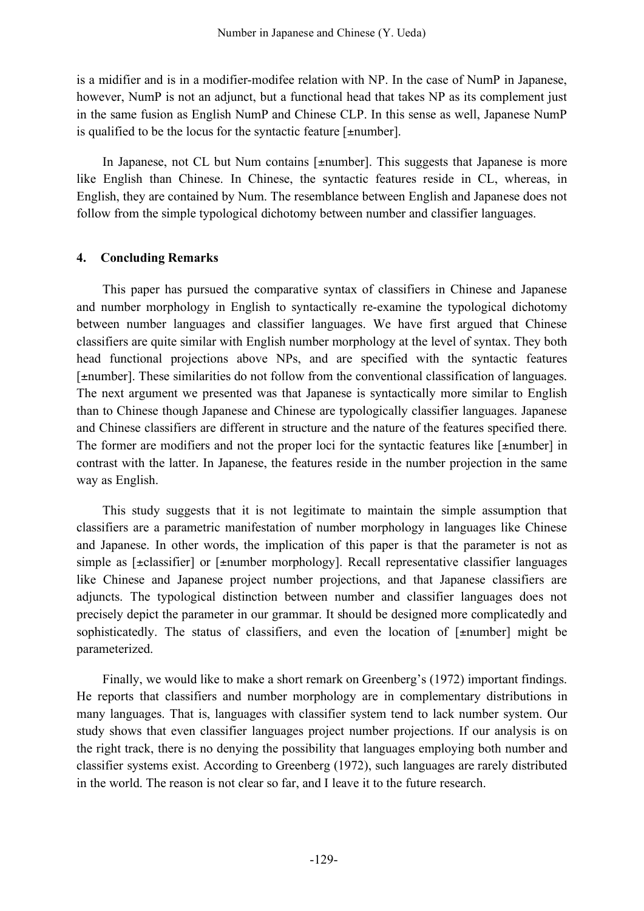is a midifier and is in a modifier-modifee relation with NP. In the case of NumP in Japanese, however, NumP is not an adjunct, but a functional head that takes NP as its complement just in the same fusion as English NumP and Chinese CLP. In this sense as well, Japanese NumP is qualified to be the locus for the syntactic feature [±number].

In Japanese, not CL but Num contains [±number]. This suggests that Japanese is more like English than Chinese. In Chinese, the syntactic features reside in CL, whereas, in English, they are contained by Num. The resemblance between English and Japanese does not follow from the simple typological dichotomy between number and classifier languages.

## **4. Concluding Remarks**

This paper has pursued the comparative syntax of classifiers in Chinese and Japanese and number morphology in English to syntactically re-examine the typological dichotomy between number languages and classifier languages. We have first argued that Chinese classifiers are quite similar with English number morphology at the level of syntax. They both head functional projections above NPs, and are specified with the syntactic features [±number]. These similarities do not follow from the conventional classification of languages. The next argument we presented was that Japanese is syntactically more similar to English than to Chinese though Japanese and Chinese are typologically classifier languages. Japanese and Chinese classifiers are different in structure and the nature of the features specified there. The former are modifiers and not the proper loci for the syntactic features like  $[\pm \text{number}]$  in contrast with the latter. In Japanese, the features reside in the number projection in the same way as English.

This study suggests that it is not legitimate to maintain the simple assumption that classifiers are a parametric manifestation of number morphology in languages like Chinese and Japanese. In other words, the implication of this paper is that the parameter is not as simple as [±classifier] or [±number morphology]. Recall representative classifier languages like Chinese and Japanese project number projections, and that Japanese classifiers are adjuncts. The typological distinction between number and classifier languages does not precisely depict the parameter in our grammar. It should be designed more complicatedly and sophisticatedly. The status of classifiers, and even the location of [ $\pm$ number] might be parameterized.

Finally, we would like to make a short remark on Greenberg's (1972) important findings. He reports that classifiers and number morphology are in complementary distributions in many languages. That is, languages with classifier system tend to lack number system. Our study shows that even classifier languages project number projections. If our analysis is on the right track, there is no denying the possibility that languages employing both number and classifier systems exist. According to Greenberg (1972), such languages are rarely distributed in the world. The reason is not clear so far, and I leave it to the future research.